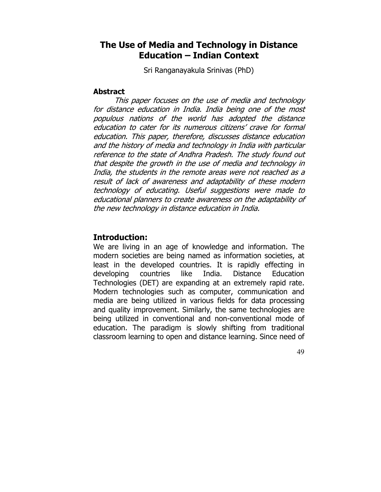# The Use of Media and Technology in Distance Education – Indian Context

Sri Ranganayakula Srinivas (PhD)

#### **Abstract**

 This paper focuses on the use of media and technology for distance education in India. India being one of the most populous nations of the world has adopted the distance education to cater for its numerous citizens' crave for formal education. This paper, therefore, discusses distance education and the history of media and technology in India with particular reference to the state of Andhra Pradesh. The study found out that despite the growth in the use of media and technology in India, the students in the remote areas were not reached as a result of lack of awareness and adaptability of these modern technology of educating. Useful suggestions were made to educational planners to create awareness on the adaptability of the new technology in distance education in India.

#### Introduction:

We are living in an age of knowledge and information. The modern societies are being named as information societies, at least in the developed countries. It is rapidly effecting in developing countries like India. Distance Education Technologies (DET) are expanding at an extremely rapid rate. Modern technologies such as computer, communication and media are being utilized in various fields for data processing and quality improvement. Similarly, the same technologies are being utilized in conventional and non-conventional mode of education. The paradigm is slowly shifting from traditional classroom learning to open and distance learning. Since need of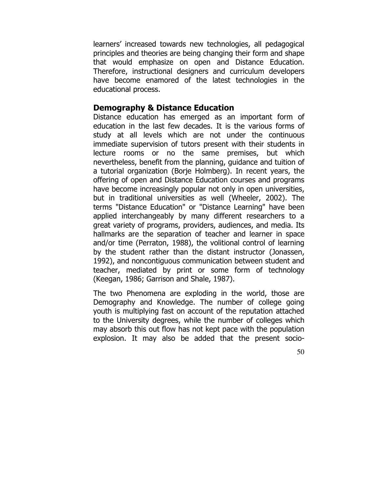learners' increased towards new technologies, all pedagogical principles and theories are being changing their form and shape that would emphasize on open and Distance Education. Therefore, instructional designers and curriculum developers have become enamored of the latest technologies in the educational process.

## Demography & Distance Education

Distance education has emerged as an important form of education in the last few decades. It is the various forms of study at all levels which are not under the continuous immediate supervision of tutors present with their students in lecture rooms or no the same premises, but which nevertheless, benefit from the planning, guidance and tuition of a tutorial organization (Borje Holmberg). In recent years, the offering of open and Distance Education courses and programs have become increasingly popular not only in open universities, but in traditional universities as well (Wheeler, 2002). The terms "Distance Education" or "Distance Learning" have been applied interchangeably by many different researchers to a great variety of programs, providers, audiences, and media. Its hallmarks are the separation of teacher and learner in space and/or time (Perraton, 1988), the volitional control of learning by the student rather than the distant instructor (Jonassen, 1992), and noncontiguous communication between student and teacher, mediated by print or some form of technology (Keegan, 1986; Garrison and Shale, 1987).

The two Phenomena are exploding in the world, those are Demography and Knowledge. The number of college going youth is multiplying fast on account of the reputation attached to the University degrees, while the number of colleges which may absorb this out flow has not kept pace with the population explosion. It may also be added that the present socio-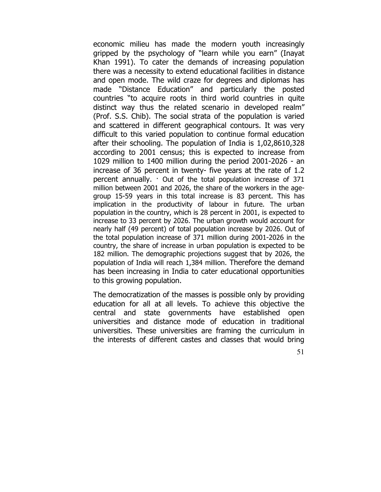economic milieu has made the modern youth increasingly gripped by the psychology of "learn while you earn" (Inayat Khan 1991). To cater the demands of increasing population there was a necessity to extend educational facilities in distance and open mode. The wild craze for degrees and diplomas has made "Distance Education" and particularly the posted countries "to acquire roots in third world countries in quite distinct way thus the related scenario in developed realm" (Prof. S.S. Chib). The social strata of the population is varied and scattered in different geographical contours. It was very difficult to this varied population to continue formal education after their schooling. The population of India is 1,02,8610,328 according to 2001 census; this is expected to increase from 1029 million to 1400 million during the period 2001-2026 - an increase of 36 percent in twenty- five years at the rate of 1.2 percent annually.  $\cdot$  Out of the total population increase of 371 million between 2001 and 2026, the share of the workers in the agegroup 15-59 years in this total increase is 83 percent. This has implication in the productivity of labour in future. The urban population in the country, which is 28 percent in 2001, is expected to increase to 33 percent by 2026. The urban growth would account for nearly half (49 percent) of total population increase by 2026. Out of the total population increase of 371 million during 2001-2026 in the country, the share of increase in urban population is expected to be 182 million. The demographic projections suggest that by 2026, the population of India will reach 1,384 million. Therefore the demand has been increasing in India to cater educational opportunities to this growing population.

The democratization of the masses is possible only by providing education for all at all levels. To achieve this objective the central and state governments have established open universities and distance mode of education in traditional universities. These universities are framing the curriculum in the interests of different castes and classes that would bring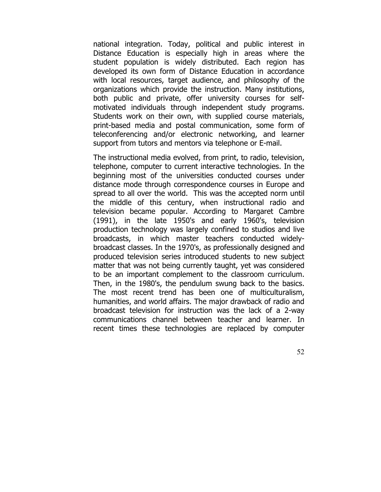national integration. Today, political and public interest in Distance Education is especially high in areas where the student population is widely distributed. Each region has developed its own form of Distance Education in accordance with local resources, target audience, and philosophy of the organizations which provide the instruction. Many institutions, both public and private, offer university courses for selfmotivated individuals through independent study programs. Students work on their own, with supplied course materials, print-based media and postal communication, some form of teleconferencing and/or electronic networking, and learner support from tutors and mentors via telephone or E-mail.

The instructional media evolved, from print, to radio, television, telephone, computer to current interactive technologies. In the beginning most of the universities conducted courses under distance mode through correspondence courses in Europe and spread to all over the world. This was the accepted norm until the middle of this century, when instructional radio and television became popular. According to Margaret Cambre (1991), in the late 1950's and early 1960's, television production technology was largely confined to studios and live broadcasts, in which master teachers conducted widelybroadcast classes. In the 1970's, as professionally designed and produced television series introduced students to new subject matter that was not being currently taught, yet was considered to be an important complement to the classroom curriculum. Then, in the 1980's, the pendulum swung back to the basics. The most recent trend has been one of multiculturalism, humanities, and world affairs. The major drawback of radio and broadcast television for instruction was the lack of a 2-way communications channel between teacher and learner. In recent times these technologies are replaced by computer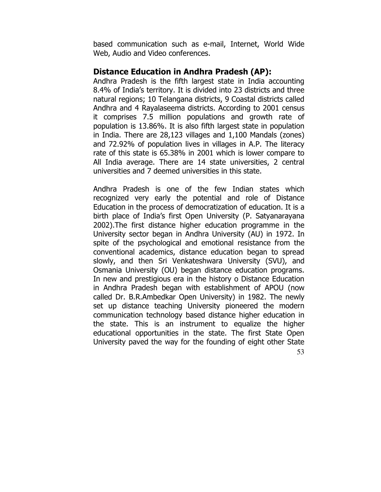based communication such as e-mail, Internet, World Wide Web, Audio and Video conferences.

# Distance Education in Andhra Pradesh (AP):

Andhra Pradesh is the fifth largest state in India accounting 8.4% of India's territory. It is divided into 23 districts and three natural regions; 10 Telangana districts, 9 Coastal districts called Andhra and 4 Rayalaseema districts. According to 2001 census it comprises 7.5 million populations and growth rate of population is 13.86%. It is also fifth largest state in population in India. There are 28,123 villages and 1,100 Mandals (zones) and 72.92% of population lives in villages in A.P. The literacy rate of this state is 65.38% in 2001 which is lower compare to All India average. There are 14 state universities, 2 central universities and 7 deemed universities in this state.

53 Andhra Pradesh is one of the few Indian states which recognized very early the potential and role of Distance Education in the process of democratization of education. It is a birth place of India's first Open University (P. Satyanarayana 2002).The first distance higher education programme in the University sector began in Andhra University (AU) in 1972. In spite of the psychological and emotional resistance from the conventional academics, distance education began to spread slowly, and then Sri Venkateshwara University (SVU), and Osmania University (OU) began distance education programs. In new and prestigious era in the history o Distance Education in Andhra Pradesh began with establishment of APOU (now called Dr. B.R.Ambedkar Open University) in 1982. The newly set up distance teaching University pioneered the modern communication technology based distance higher education in the state. This is an instrument to equalize the higher educational opportunities in the state. The first State Open University paved the way for the founding of eight other State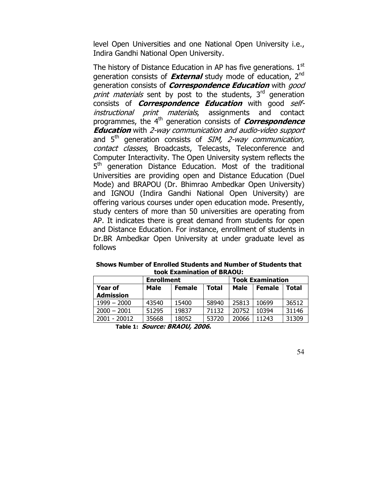level Open Universities and one National Open University i.e., Indira Gandhi National Open University.

The history of Distance Education in AP has five generations. 1<sup>st</sup> generation consists of **External** study mode of education,  $2^{nd}$ generation consists of *Correspondence Education* with good *print materials* sent by post to the students,  $3<sup>rd</sup>$  generation consists of **Correspondence Education** with good selfinstructional print materials, assignments and contact programmes, the  $4<sup>th</sup>$  generation consists of **Correspondence Education** with 2-way communication and audio-video support and  $5<sup>th</sup>$  generation consists of  $SIM, 2-way communication,$ contact classes, Broadcasts, Telecasts, Teleconference and Computer Interactivity. The Open University system reflects the 5<sup>th</sup> generation Distance Education. Most of the traditional Universities are providing open and Distance Education (Duel Mode) and BRAPOU (Dr. Bhimrao Ambedkar Open University) and IGNOU (Indira Gandhi National Open University) are offering various courses under open education mode. Presently, study centers of more than 50 universities are operating from AP. It indicates there is great demand from students for open and Distance Education. For instance, enrollment of students in Dr.BR Ambedkar Open University at under graduate level as follows

|                            | Shows Number of Enrolled Students and Number of Students that |  |  |  |  |  |  |
|----------------------------|---------------------------------------------------------------|--|--|--|--|--|--|
| took Examination of BRAOU: |                                                               |  |  |  |  |  |  |
|                            |                                                               |  |  |  |  |  |  |

|                             | <b>Enrollment</b> |               |       | <b>Took Examination</b> |               |       |  |  |  |
|-----------------------------|-------------------|---------------|-------|-------------------------|---------------|-------|--|--|--|
| Year of<br><b>Admission</b> | Male              | <b>Female</b> | Total | Male                    | <b>Female</b> | Total |  |  |  |
| $1999 - 2000$               | 43540             | 15400         | 58940 | 25813                   | 10699         | 36512 |  |  |  |
| $2000 - 2001$               | 51295             | 19837         | 71132 | 20752                   | 10394         | 31146 |  |  |  |
| 2001 - 20012                | 35668             | 18052         | 53720 | 20066                   | 11243         | 31309 |  |  |  |
| -<br>_                      |                   |               |       |                         |               |       |  |  |  |

Table 1: Source: BRAOU, 2006.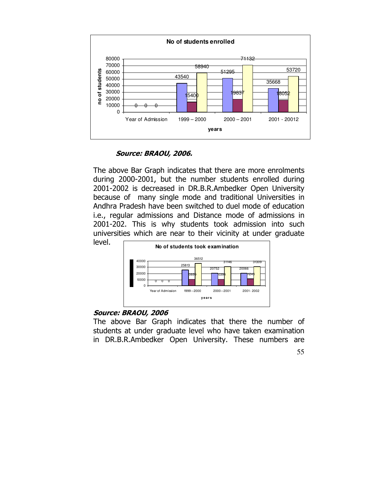

Source: BRAOU, 2006.

The above Bar Graph indicates that there are more enrolments during 2000-2001, but the number students enrolled during 2001-2002 is decreased in DR.B.R.Ambedker Open University because of many single mode and traditional Universities in Andhra Pradesh have been switched to duel mode of education i.e., regular admissions and Distance mode of admissions in 2001-202. This is why students took admission into such universities which are near to their vicinity at under graduate



## Source: BRAOU, 2006

The above Bar Graph indicates that there the number of students at under graduate level who have taken examination in DR.B.R.Ambedker Open University. These numbers are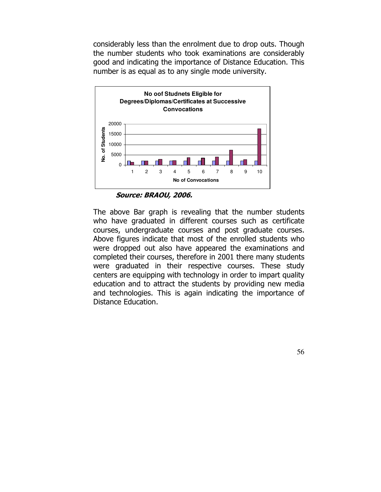considerably less than the enrolment due to drop outs. Though the number students who took examinations are considerably good and indicating the importance of Distance Education. This number is as equal as to any single mode university.



Source: BRAOU, 2006.

The above Bar graph is revealing that the number students who have graduated in different courses such as certificate courses, undergraduate courses and post graduate courses. Above figures indicate that most of the enrolled students who were dropped out also have appeared the examinations and completed their courses, therefore in 2001 there many students were graduated in their respective courses. These study centers are equipping with technology in order to impart quality education and to attract the students by providing new media and technologies. This is again indicating the importance of Distance Education.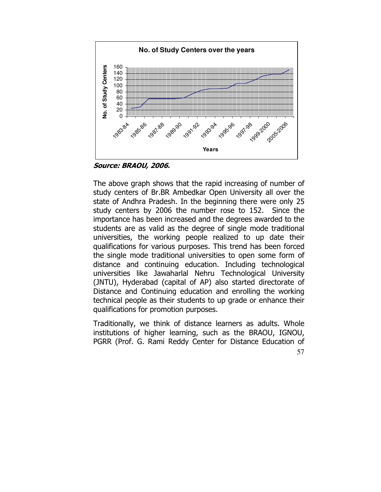

Source: BRAOU, 2006.

The above graph shows that the rapid increasing of number of study centers of Br.BR Ambedkar Open University all over the state of Andhra Pradesh. In the beginning there were only 25 study centers by 2006 the number rose to 152. Since the importance has been increased and the degrees awarded to the students are as valid as the degree of single mode traditional universities, the working people realized to up date their qualifications for various purposes. This trend has been forced the single mode traditional universities to open some form of distance and continuing education. Including technological universities like Jawaharlal Nehru Technological University (JNTU), Hyderabad (capital of AP) also started directorate of Distance and Continuing education and enrolling the working technical people as their students to up grade or enhance their qualifications for promotion purposes.

Traditionally, we think of distance learners as adults. Whole institutions of higher learning, such as the BRAOU, IGNOU, PGRR (Prof. G. Rami Reddy Center for Distance Education of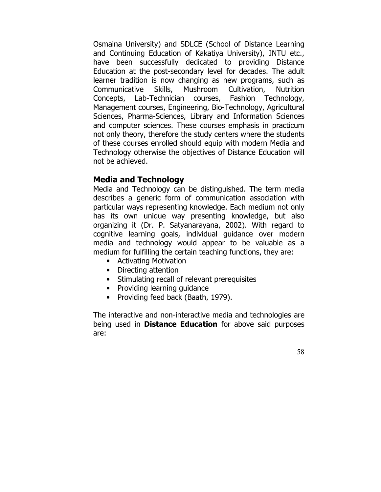Osmaina University) and SDLCE (School of Distance Learning and Continuing Education of Kakatiya University), JNTU etc., have been successfully dedicated to providing Distance Education at the post-secondary level for decades. The adult learner tradition is now changing as new programs, such as Communicative Skills, Mushroom Cultivation, Nutrition Concepts, Lab-Technician courses, Fashion Technology, Management courses, Engineering, Bio-Technology, Agricultural Sciences, Pharma-Sciences, Library and Information Sciences and computer sciences. These courses emphasis in practicum not only theory, therefore the study centers where the students of these courses enrolled should equip with modern Media and Technology otherwise the objectives of Distance Education will not be achieved.

# Media and Technology

Media and Technology can be distinguished. The term media describes a generic form of communication association with particular ways representing knowledge. Each medium not only has its own unique way presenting knowledge, but also organizing it (Dr. P. Satyanarayana, 2002). With regard to cognitive learning goals, individual guidance over modern media and technology would appear to be valuable as a medium for fulfilling the certain teaching functions, they are:

- Activating Motivation
- Directing attention
- Stimulating recall of relevant prerequisites
- Providing learning guidance
- Providing feed back (Baath, 1979).

The interactive and non-interactive media and technologies are being used in **Distance Education** for above said purposes are: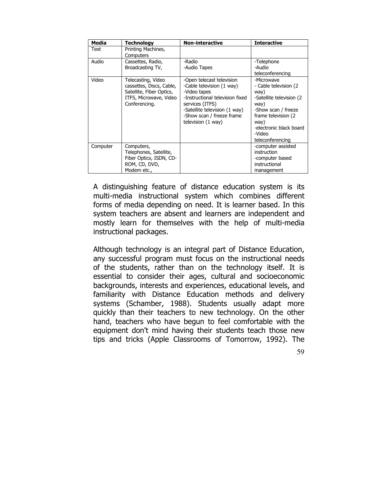| Media    | Technology                                                                                                            | <b>Non-interactive</b>                                                                                                                                                                                           | <b>Interactive</b>                                                                                                                                                                                |
|----------|-----------------------------------------------------------------------------------------------------------------------|------------------------------------------------------------------------------------------------------------------------------------------------------------------------------------------------------------------|---------------------------------------------------------------------------------------------------------------------------------------------------------------------------------------------------|
| Text     | Printing Machines,<br>Computers                                                                                       |                                                                                                                                                                                                                  |                                                                                                                                                                                                   |
| Audio    | Cassettes, Radio,<br>Broadcasting TV,                                                                                 | -Radio<br>-Audio Tapes                                                                                                                                                                                           | -Telephone<br>-Audio<br>teleconferencing                                                                                                                                                          |
| Video    | Telecasting, Video<br>cassettes, Discs, Cable,<br>Satellite, Fiber Optics,<br>ITFS, Microwave, Video<br>Conferencing. | -Open telecast television<br>-Cable television (1 way)<br>-Video tapes<br>-Instructional television fixed<br>services (ITFS)<br>-Satellite television (1 way)<br>-Show scan / freeze frame<br>television (1 way) | -Microwave<br>- Cable television (2)<br>way)<br>-Satellite television (2)<br>way)<br>-Show scan / freeze<br>frame television (2)<br>way)<br>-electronic black board<br>-Video<br>teleconferencing |
| Computer | Computers,<br>Telephones, Satellite,<br>Fiber Optics, ISDN, CD-<br>ROM, CD, DVD,<br>Modem etc.,                       |                                                                                                                                                                                                                  | -computer assisted<br>instruction<br>-computer based<br>instructional<br>management                                                                                                               |

A distinguishing feature of distance education system is its multi-media instructional system which combines different forms of media depending on need. It is learner based. In this system teachers are absent and learners are independent and mostly learn for themselves with the help of multi-media instructional packages.

Although technology is an integral part of Distance Education, any successful program must focus on the instructional needs of the students, rather than on the technology itself. It is essential to consider their ages, cultural and socioeconomic backgrounds, interests and experiences, educational levels, and familiarity with Distance Education methods and delivery systems (Schamber, 1988). Students usually adapt more quickly than their teachers to new technology. On the other hand, teachers who have begun to feel comfortable with the equipment don't mind having their students teach those new tips and tricks (Apple Classrooms of Tomorrow, 1992). The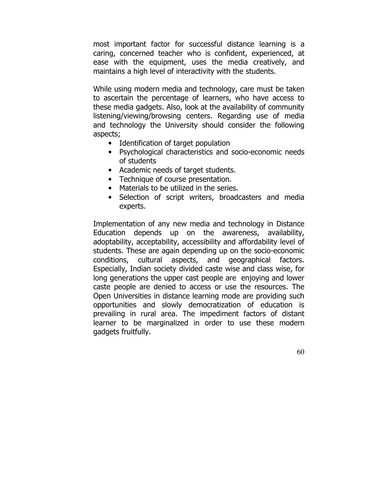most important factor for successful distance learning is a caring, concerned teacher who is confident, experienced, at ease with the equipment, uses the media creatively, and maintains a high level of interactivity with the students.

While using modern media and technology, care must be taken to ascertain the percentage of learners, who have access to these media gadgets. Also, look at the availability of community listening/viewing/browsing centers. Regarding use of media and technology the University should consider the following aspects;

- Identification of target population
- Psychological characteristics and socio-economic needs of students
- Academic needs of target students.
- Technique of course presentation.
- Materials to be utilized in the series.
- Selection of script writers, broadcasters and media experts.

Implementation of any new media and technology in Distance Education depends up on the awareness, availability, adoptability, acceptability, accessibility and affordability level of students. These are again depending up on the socio-economic conditions, cultural aspects, and geographical factors. Especially, Indian society divided caste wise and class wise, for long generations the upper cast people are enjoying and lower caste people are denied to access or use the resources. The Open Universities in distance learning mode are providing such opportunities and slowly democratization of education is prevailing in rural area. The impediment factors of distant learner to be marginalized in order to use these modern gadgets fruitfully.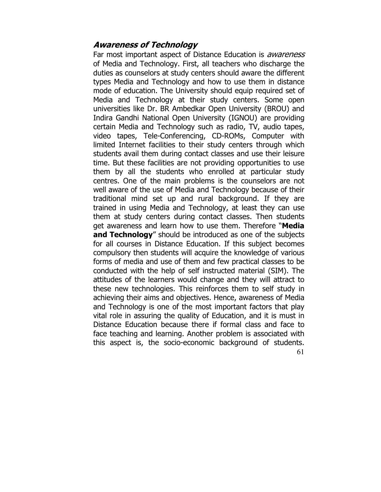## Awareness of Technology

61 Far most important aspect of Distance Education is *awareness* of Media and Technology. First, all teachers who discharge the duties as counselors at study centers should aware the different types Media and Technology and how to use them in distance mode of education. The University should equip required set of Media and Technology at their study centers. Some open universities like Dr. BR Ambedkar Open University (BROU) and Indira Gandhi National Open University (IGNOU) are providing certain Media and Technology such as radio, TV, audio tapes, video tapes, Tele-Conferencing, CD-ROMs, Computer with limited Internet facilities to their study centers through which students avail them during contact classes and use their leisure time. But these facilities are not providing opportunities to use them by all the students who enrolled at particular study centres. One of the main problems is the counselors are not well aware of the use of Media and Technology because of their traditional mind set up and rural background. If they are trained in using Media and Technology, at least they can use them at study centers during contact classes. Then students get awareness and learn how to use them. Therefore "Media and Technology" should be introduced as one of the subjects for all courses in Distance Education. If this subject becomes compulsory then students will acquire the knowledge of various forms of media and use of them and few practical classes to be conducted with the help of self instructed material (SIM). The attitudes of the learners would change and they will attract to these new technologies. This reinforces them to self study in achieving their aims and objectives. Hence, awareness of Media and Technology is one of the most important factors that play vital role in assuring the quality of Education, and it is must in Distance Education because there if formal class and face to face teaching and learning. Another problem is associated with this aspect is, the socio-economic background of students.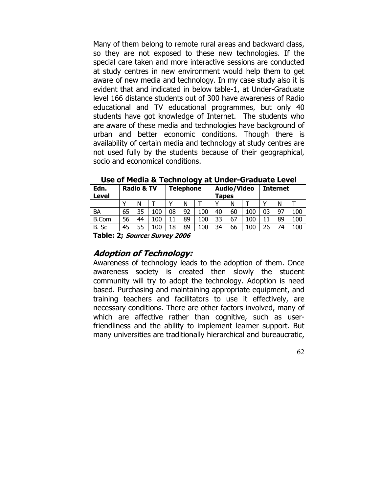Many of them belong to remote rural areas and backward class, so they are not exposed to these new technologies. If the special care taken and more interactive sessions are conducted at study centres in new environment would help them to get aware of new media and technology. In my case study also it is evident that and indicated in below table-1, at Under-Graduate level 166 distance students out of 300 have awareness of Radio educational and TV educational programmes, but only 40 students have got knowledge of Internet. The students who are aware of these media and technologies have background of urban and better economic conditions. Though there is availability of certain media and technology at study centres are not used fully by the students because of their geographical, socio and economical conditions.

| Edn.<br>Level | <b>Radio &amp; TV</b> |    | <b>Telephone</b> |    | Audio/Video<br>Tapes |     |    | <b>Internet</b> |     |    |    |     |
|---------------|-----------------------|----|------------------|----|----------------------|-----|----|-----------------|-----|----|----|-----|
|               |                       | N  |                  |    | Ν                    |     |    | N               |     |    | N  |     |
| BA            | 65                    | 35 | 100              | 08 | 92                   | 100 | 40 | 60              | 100 | 03 | 97 | 100 |
| <b>B.Com</b>  | 56                    | 44 | 100              |    | 89                   | 100 | 33 | 67              | 100 |    | 89 | 100 |
| B. Sc         | 45                    | 55 | 100              | 18 | 89                   | 100 | 34 | 66              | 100 | 26 | 74 | 100 |

Use of Media & Technology at Under-Graduate Level

Table: 2; Source: Survey 2006

## Adoption of Technology:

Awareness of technology leads to the adoption of them. Once awareness society is created then slowly the student community will try to adopt the technology. Adoption is need based. Purchasing and maintaining appropriate equipment, and training teachers and facilitators to use it effectively, are necessary conditions. There are other factors involved, many of which are affective rather than cognitive, such as userfriendliness and the ability to implement learner support. But many universities are traditionally hierarchical and bureaucratic,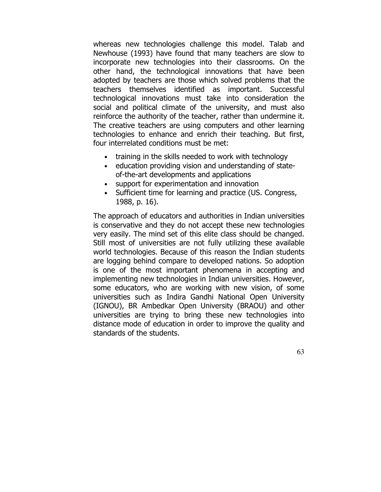whereas new technologies challenge this model. Talab and Newhouse (1993) have found that many teachers are slow to incorporate new technologies into their classrooms. On the other hand, the technological innovations that have been adopted by teachers are those which solved problems that the teachers themselves identified as important. Successful technological innovations must take into consideration the social and political climate of the university, and must also reinforce the authority of the teacher, rather than undermine it. The creative teachers are using computers and other learning technologies to enhance and enrich their teaching. But first, four interrelated conditions must be met:

- training in the skills needed to work with technology
- education providing vision and understanding of stateof-the-art developments and applications
- support for experimentation and innovation
- Sufficient time for learning and practice (US. Congress, 1988, p. 16).

The approach of educators and authorities in Indian universities is conservative and they do not accept these new technologies very easily. The mind set of this elite class should be changed. Still most of universities are not fully utilizing these available world technologies. Because of this reason the Indian students are logging behind compare to developed nations. So adoption is one of the most important phenomena in accepting and implementing new technologies in Indian universities. However, some educators, who are working with new vision, of some universities such as Indira Gandhi National Open University (IGNOU), BR Ambedkar Open University (BRAOU) and other universities are trying to bring these new technologies into distance mode of education in order to improve the quality and standards of the students.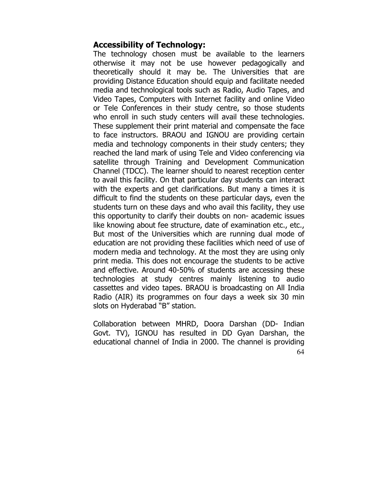## Accessibility of Technology:

The technology chosen must be available to the learners otherwise it may not be use however pedagogically and theoretically should it may be. The Universities that are providing Distance Education should equip and facilitate needed media and technological tools such as Radio, Audio Tapes, and Video Tapes, Computers with Internet facility and online Video or Tele Conferences in their study centre, so those students who enroll in such study centers will avail these technologies. These supplement their print material and compensate the face to face instructors. BRAOU and IGNOU are providing certain media and technology components in their study centers; they reached the land mark of using Tele and Video conferencing via satellite through Training and Development Communication Channel (TDCC). The learner should to nearest reception center to avail this facility. On that particular day students can interact with the experts and get clarifications. But many a times it is difficult to find the students on these particular days, even the students turn on these days and who avail this facility, they use this opportunity to clarify their doubts on non- academic issues like knowing about fee structure, date of examination etc., etc., But most of the Universities which are running dual mode of education are not providing these facilities which need of use of modern media and technology. At the most they are using only print media. This does not encourage the students to be active and effective. Around 40-50% of students are accessing these technologies at study centres mainly listening to audio cassettes and video tapes. BRAOU is broadcasting on All India Radio (AIR) its programmes on four days a week six 30 min slots on Hyderabad "B" station.

64 Collaboration between MHRD, Doora Darshan (DD- Indian Govt. TV), IGNOU has resulted in DD Gyan Darshan, the educational channel of India in 2000. The channel is providing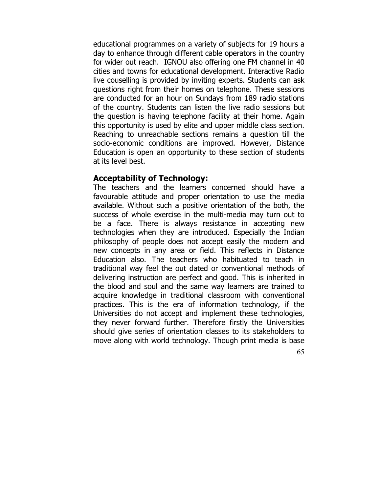educational programmes on a variety of subjects for 19 hours a day to enhance through different cable operators in the country for wider out reach. IGNOU also offering one FM channel in 40 cities and towns for educational development. Interactive Radio live couselling is provided by inviting experts. Students can ask questions right from their homes on telephone. These sessions are conducted for an hour on Sundays from 189 radio stations of the country. Students can listen the live radio sessions but the question is having telephone facility at their home. Again this opportunity is used by elite and upper middle class section. Reaching to unreachable sections remains a question till the socio-economic conditions are improved. However, Distance Education is open an opportunity to these section of students at its level best.

#### Acceptability of Technology:

The teachers and the learners concerned should have a favourable attitude and proper orientation to use the media available. Without such a positive orientation of the both, the success of whole exercise in the multi-media may turn out to be a face. There is always resistance in accepting new technologies when they are introduced. Especially the Indian philosophy of people does not accept easily the modern and new concepts in any area or field. This reflects in Distance Education also. The teachers who habituated to teach in traditional way feel the out dated or conventional methods of delivering instruction are perfect and good. This is inherited in the blood and soul and the same way learners are trained to acquire knowledge in traditional classroom with conventional practices. This is the era of information technology, if the Universities do not accept and implement these technologies, they never forward further. Therefore firstly the Universities should give series of orientation classes to its stakeholders to move along with world technology. Though print media is base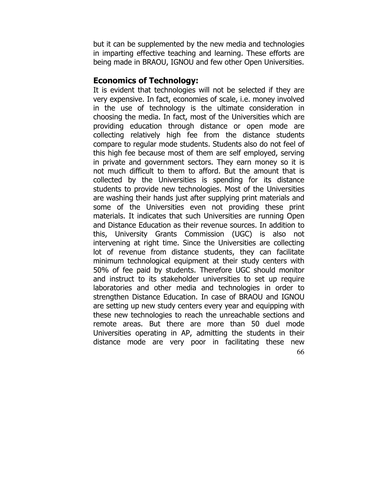but it can be supplemented by the new media and technologies in imparting effective teaching and learning. These efforts are being made in BRAOU, IGNOU and few other Open Universities.

# Economics of Technology:

66 It is evident that technologies will not be selected if they are very expensive. In fact, economies of scale, i.e. money involved in the use of technology is the ultimate consideration in choosing the media. In fact, most of the Universities which are providing education through distance or open mode are collecting relatively high fee from the distance students compare to regular mode students. Students also do not feel of this high fee because most of them are self employed, serving in private and government sectors. They earn money so it is not much difficult to them to afford. But the amount that is collected by the Universities is spending for its distance students to provide new technologies. Most of the Universities are washing their hands just after supplying print materials and some of the Universities even not providing these print materials. It indicates that such Universities are running Open and Distance Education as their revenue sources. In addition to this, University Grants Commission (UGC) is also not intervening at right time. Since the Universities are collecting lot of revenue from distance students, they can facilitate minimum technological equipment at their study centers with 50% of fee paid by students. Therefore UGC should monitor and instruct to its stakeholder universities to set up require laboratories and other media and technologies in order to strengthen Distance Education. In case of BRAOU and IGNOU are setting up new study centers every year and equipping with these new technologies to reach the unreachable sections and remote areas. But there are more than 50 duel mode Universities operating in AP, admitting the students in their distance mode are very poor in facilitating these new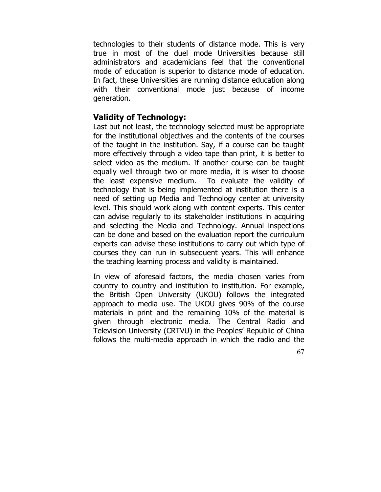technologies to their students of distance mode. This is very true in most of the duel mode Universities because still administrators and academicians feel that the conventional mode of education is superior to distance mode of education. In fact, these Universities are running distance education along with their conventional mode just because of income generation.

# Validity of Technology:

Last but not least, the technology selected must be appropriate for the institutional objectives and the contents of the courses of the taught in the institution. Say, if a course can be taught more effectively through a video tape than print, it is better to select video as the medium. If another course can be taught equally well through two or more media, it is wiser to choose the least expensive medium. To evaluate the validity of technology that is being implemented at institution there is a need of setting up Media and Technology center at university level. This should work along with content experts. This center can advise regularly to its stakeholder institutions in acquiring and selecting the Media and Technology. Annual inspections can be done and based on the evaluation report the curriculum experts can advise these institutions to carry out which type of courses they can run in subsequent years. This will enhance the teaching learning process and validity is maintained.

In view of aforesaid factors, the media chosen varies from country to country and institution to institution. For example, the British Open University (UKOU) follows the integrated approach to media use. The UKOU gives 90% of the course materials in print and the remaining 10% of the material is given through electronic media. The Central Radio and Television University (CRTVU) in the Peoples' Republic of China follows the multi-media approach in which the radio and the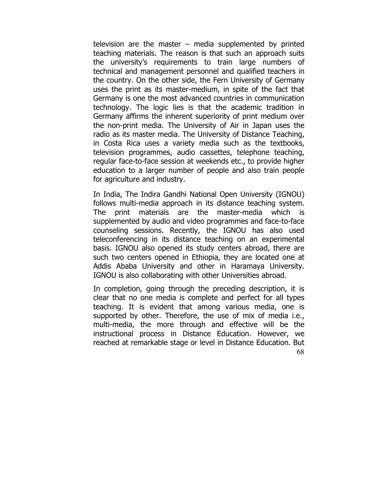television are the master  $-$  media supplemented by printed teaching materials. The reason is that such an approach suits the university's requirements to train large numbers of technical and management personnel and qualified teachers in the country. On the other side, the Fern University of Germany uses the print as its master-medium, in spite of the fact that Germany is one the most advanced countries in communication technology. The logic lies is that the academic tradition in Germany affirms the inherent superiority of print medium over the non-print media. The University of Air in Japan uses the radio as its master media. The University of Distance Teaching, in Costa Rica uses a variety media such as the textbooks, television programmes, audio cassettes, telephone teaching, regular face-to-face session at weekends etc., to provide higher education to a larger number of people and also train people for agriculture and industry.

In India, The Indira Gandhi National Open University (IGNOU) follows multi-media approach in its distance teaching system. The print materials are the master-media which is supplemented by audio and video programmes and face-to-face counseling sessions. Recently, the IGNOU has also used teleconferencing in its distance teaching on an experimental basis. IGNOU also opened its study centers abroad, there are such two centers opened in Ethiopia, they are located one at Addis Ababa University and other in Haramaya University. IGNOU is also collaborating with other Universities abroad.

68 In completion, going through the preceding description, it is clear that no one media is complete and perfect for all types teaching. It is evident that among various media, one is supported by other. Therefore, the use of mix of media i.e., multi-media, the more through and effective will be the instructional process in Distance Education. However, we reached at remarkable stage or level in Distance Education. But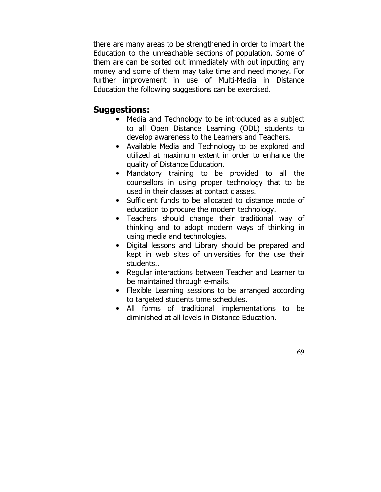there are many areas to be strengthened in order to impart the Education to the unreachable sections of population. Some of them are can be sorted out immediately with out inputting any money and some of them may take time and need money. For further improvement in use of Multi-Media in Distance Education the following suggestions can be exercised.

# Suggestions:

- Media and Technology to be introduced as a subject to all Open Distance Learning (ODL) students to develop awareness to the Learners and Teachers.
- Available Media and Technology to be explored and utilized at maximum extent in order to enhance the quality of Distance Education.
- Mandatory training to be provided to all the counsellors in using proper technology that to be used in their classes at contact classes.
- Sufficient funds to be allocated to distance mode of education to procure the modern technology.
- Teachers should change their traditional way of thinking and to adopt modern ways of thinking in using media and technologies.
- Digital lessons and Library should be prepared and kept in web sites of universities for the use their students..
- Regular interactions between Teacher and Learner to be maintained through e-mails.
- Flexible Learning sessions to be arranged according to targeted students time schedules.
- All forms of traditional implementations to be diminished at all levels in Distance Education.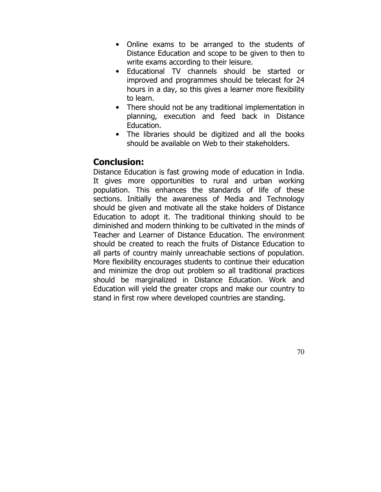- Online exams to be arranged to the students of Distance Education and scope to be given to then to write exams according to their leisure.
- Educational TV channels should be started or improved and programmes should be telecast for 24 hours in a day, so this gives a learner more flexibility to learn.
- There should not be any traditional implementation in planning, execution and feed back in Distance Education.
- The libraries should be digitized and all the books should be available on Web to their stakeholders.

# Conclusion:

Distance Education is fast growing mode of education in India. It gives more opportunities to rural and urban working population. This enhances the standards of life of these sections. Initially the awareness of Media and Technology should be given and motivate all the stake holders of Distance Education to adopt it. The traditional thinking should to be diminished and modern thinking to be cultivated in the minds of Teacher and Learner of Distance Education. The environment should be created to reach the fruits of Distance Education to all parts of country mainly unreachable sections of population. More flexibility encourages students to continue their education and minimize the drop out problem so all traditional practices should be marginalized in Distance Education. Work and Education will yield the greater crops and make our country to stand in first row where developed countries are standing.

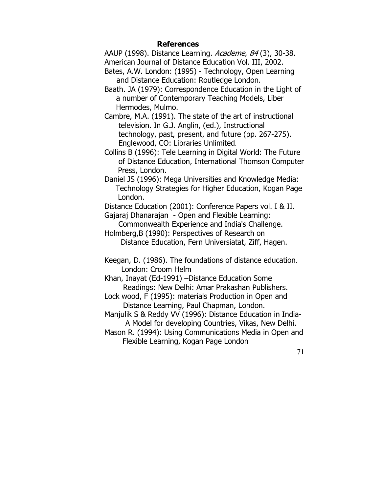#### References

AAUP (1998). Distance Learning. Academe, 84(3), 30-38. American Journal of Distance Education Vol. III, 2002.

Bates, A.W. London: (1995) - Technology, Open Learning and Distance Education: Routledge London.

Baath. JA (1979): Correspondence Education in the Light of a number of Contemporary Teaching Models, Liber Hermodes, Mulmo.

Cambre, M.A. (1991). The state of the art of instructional television. In G.J. Anglin, (ed.), Instructional technology, past, present, and future (pp. 267-275). Englewood, CO: Libraries Unlimited.

Collins B (1996): Tele Learning in Digital World: The Future of Distance Education, International Thomson Computer Press, London.

Daniel JS (1996): Mega Universities and Knowledge Media: Technology Strategies for Higher Education, Kogan Page London.

Distance Education (2001): Conference Papers vol. I & II. Gajaraj Dhanarajan - Open and Flexible Learning:

 Commonwealth Experience and India's Challenge. Holmberg,B (1990): Perspectives of Research on

Distance Education, Fern Universiatat, Ziff, Hagen.

Keegan, D. (1986). The foundations of distance education. London: Croom Helm

Khan, Inayat (Ed-1991) –Distance Education Some Readings: New Delhi: Amar Prakashan Publishers.

Lock wood, F (1995): materials Production in Open and Distance Learning, Paul Chapman, London.

Manjulik S & Reddy VV (1996): Distance Education in India- A Model for developing Countries, Vikas, New Delhi.

Mason R. (1994): Using Communications Media in Open and Flexible Learning, Kogan Page London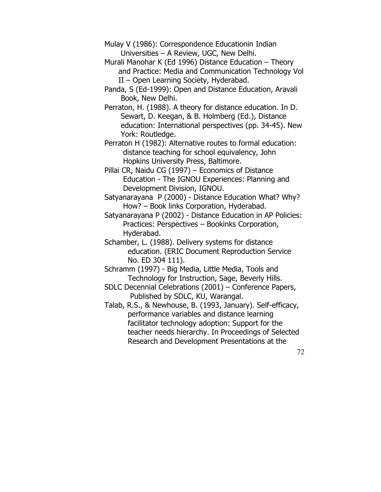Mulay V (1986): Correspondence Educationin Indian Universities – A Review, UGC, New Delhi.

Murali Manohar K (Ed 1996) Distance Education – Theory and Practice: Media and Communication Technology Vol II – Open Learning Society, Hyderabad.

Panda, S (Ed-1999): Open and Distance Education, Aravali Book, New Delhi.

Perraton, H. (1988). A theory for distance education. In D. Sewart, D. Keegan, & B. Holmberg (Ed.), Distance education: International perspectives (pp. 34-45). New York: Routledge.

Perraton H (1982): Alternative routes to formal education: distance teaching for school equivalency, John Hopkins University Press, Baltimore.

Pillai CR, Naidu CG (1997) – Economics of Distance Education - The IGNOU Experiences: Planning and Development Division, IGNOU.

Satyanarayana P (2000) - Distance Education What? Why? How? – Book links Corporation, Hyderabad.

Satyanarayana P (2002) - Distance Education in AP Policies: Practices: Perspectives – Bookinks Corporation, Hyderabad.

Schamber, L. (1988). Delivery systems for distance education. (ERIC Document Reproduction Service No. ED 304 111).

Schramm (1997) - Big Media, Little Media, Tools and Technology for Instruction, Sage, Beverly Hills.

SDLC Decennial Celebrations (2001) – Conference Papers, Published by SDLC, KU, Warangal.

Talab, R.S., & Newhouse, B. (1993, January). Self-efficacy, performance variables and distance learning facilitator technology adoption: Support for the teacher needs hierarchy. In Proceedings of Selected Research and Development Presentations at the